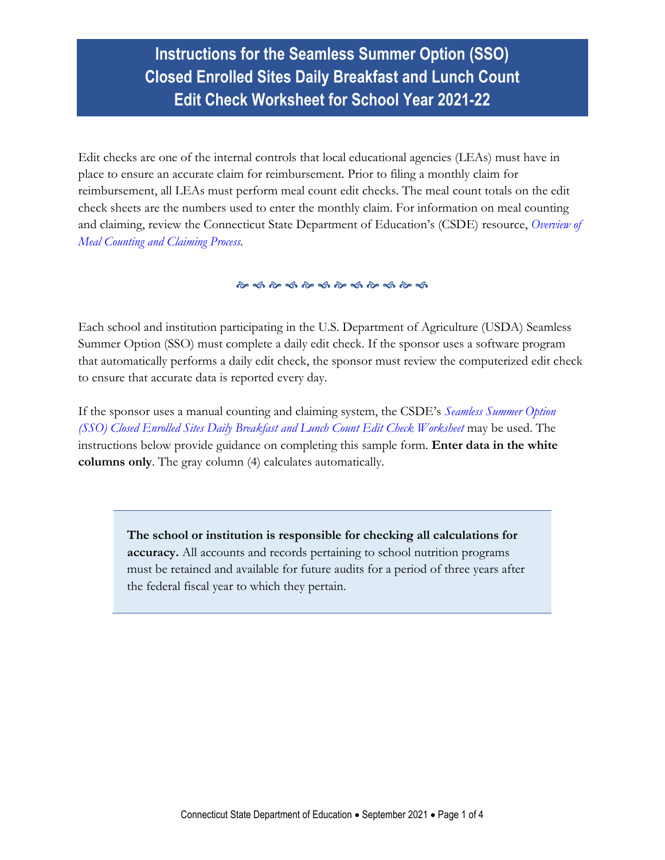**Instructions for the Seamless Summer Option (SSO) Closed Enrolled Sites Daily Breakfast and Lunch Count Edit Check Worksheet for School Year 2021-22**

Edit checks are one of the internal controls that local educational agencies (LEAs) must have in place to ensure an accurate claim for reimbursement. Prior to filing a monthly claim for reimbursement, all LEAs must perform meal count edit checks. The meal count totals on the edit check sheets are the numbers used to enter the monthly claim. For information on meal counting and claiming, review the Connecticut State Department of Education's (CSDE) resource, *[Overview of](https://portal.ct.gov/-/media/SDE/Nutrition/NSLP/Forms/MealCount/Overview_Meal_Counting_Claiming_SNP.pdf)  [Meal Counting and Claiming Process.](https://portal.ct.gov/-/media/SDE/Nutrition/NSLP/Forms/MealCount/Overview_Meal_Counting_Claiming_SNP.pdf)*

Each school and institution participating in the U.S. Department of Agriculture (USDA) Seamless Summer Option (SSO) must complete a daily edit check. If the sponsor uses a software program that automatically performs a daily edit check, the sponsor must review the computerized edit check to ensure that accurate data is reported every day.

If the sponsor uses a manual counting and claiming system, the CSDE's *[Seamless Summer Option](https://portal.ct.gov/-/media/SDE/Nutrition/NSLP/Forms/MealCount/Edit_Check_Worksheet_Breakfast_Lunch_SSO.xlsx)  [\(SSO\) Closed Enrolled Sites Daily Breakfast](https://portal.ct.gov/-/media/SDE/Nutrition/NSLP/Forms/MealCount/Edit_Check_Worksheet_Breakfast_Lunch_SSO.xlsx) and Lunch Count Edit Check Worksheet* may be used. The instructions below provide guidance on completing this sample form. **Enter data in the white columns only**. The gray column (4) calculates automatically.

> **The school or institution is responsible for checking all calculations for accuracy.** All accounts and records pertaining to school nutrition programs must be retained and available for future audits for a period of three years after the federal fiscal year to which they pertain.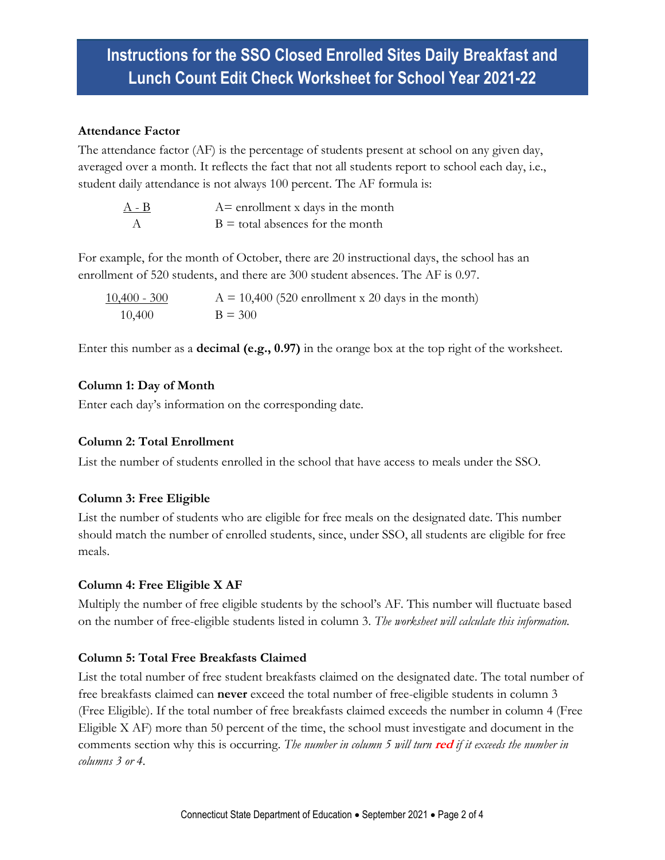## **Instructions for the SSO Closed Enrolled Sites Daily Breakfast and Lunch Count Edit Check Worksheet for School Year 2021-22**

### **Attendance Factor**

The attendance factor (AF) is the percentage of students present at school on any given day, averaged over a month. It reflects the fact that not all students report to school each day, i.e., student daily attendance is not always 100 percent. The AF formula is:

| $A - B$ | $A =$ enrollment x days in the month |
|---------|--------------------------------------|
|         | $B =$ total absences for the month   |

For example, for the month of October, there are 20 instructional days, the school has an enrollment of 520 students, and there are 300 student absences. The AF is 0.97.

| $10,400 - 300$ | $A = 10,400$ (520 enrollment x 20 days in the month) |
|----------------|------------------------------------------------------|
| 10,400         | $B = 300$                                            |

Enter this number as a **decimal (e.g., 0.97)** in the orange box at the top right of the worksheet.

## **Column 1: Day of Month**

Enter each day's information on the corresponding date.

## **Column 2: Total Enrollment**

List the number of students enrolled in the school that have access to meals under the SSO.

## **Column 3: Free Eligible**

List the number of students who are eligible for free meals on the designated date. This number should match the number of enrolled students, since, under SSO, all students are eligible for free meals.

## **Column 4: Free Eligible X AF**

Multiply the number of free eligible students by the school's AF. This number will fluctuate based on the number of free-eligible students listed in column 3. *The worksheet will calculate this information.*

## **Column 5: Total Free Breakfasts Claimed**

List the total number of free student breakfasts claimed on the designated date. The total number of free breakfasts claimed can **never** exceed the total number of free-eligible students in column 3 (Free Eligible). If the total number of free breakfasts claimed exceeds the number in column 4 (Free Eligible X AF) more than 50 percent of the time, the school must investigate and document in the comments section why this is occurring. *The number in column 5 will turn* **red** *if it exceeds the number in columns 3 or 4.*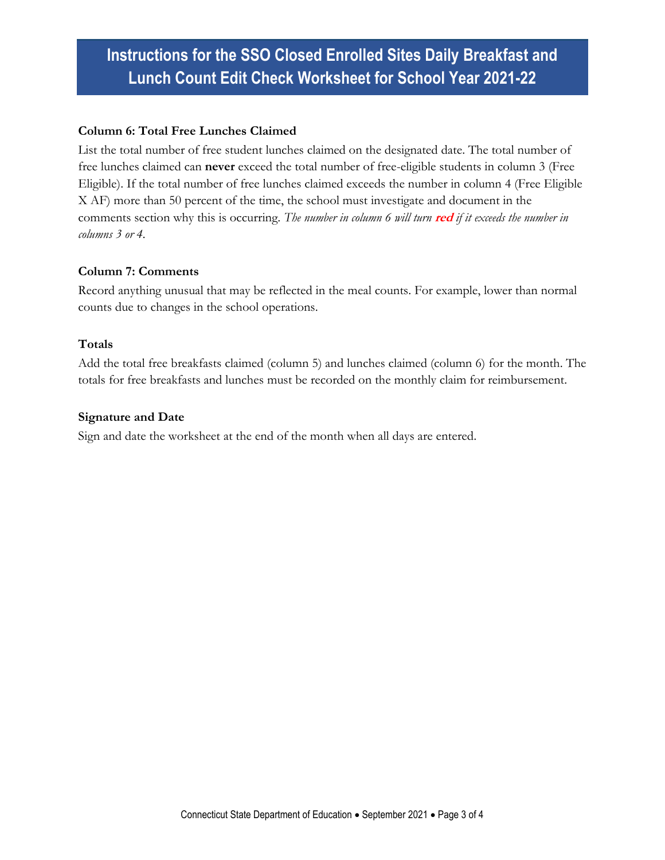# **Instructions for the SSO Closed Enrolled Sites Daily Breakfast and Lunch Count Edit Check Worksheet for School Year 2021-22**

### **Column 6: Total Free Lunches Claimed**

List the total number of free student lunches claimed on the designated date. The total number of free lunches claimed can **never** exceed the total number of free-eligible students in column 3 (Free Eligible). If the total number of free lunches claimed exceeds the number in column 4 (Free Eligible X AF) more than 50 percent of the time, the school must investigate and document in the comments section why this is occurring. *The number in column 6 will turn* **red** *if it exceeds the number in columns 3 or 4.*

### **Column 7: Comments**

Record anything unusual that may be reflected in the meal counts. For example, lower than normal counts due to changes in the school operations.

#### **Totals**

Add the total free breakfasts claimed (column 5) and lunches claimed (column 6) for the month. The totals for free breakfasts and lunches must be recorded on the monthly claim for reimbursement.

#### **Signature and Date**

Sign and date the worksheet at the end of the month when all days are entered.